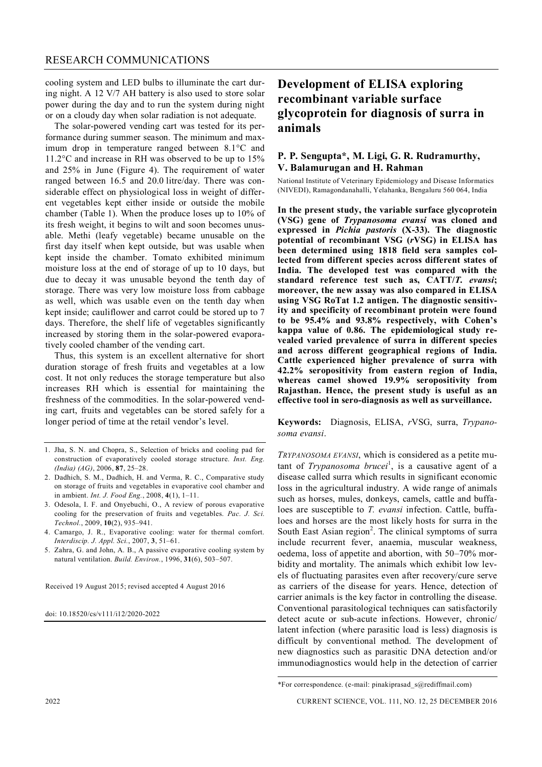#### RESEARCH COMMUNICATIONS

cooling system and LED bulbs to illuminate the cart during night. A 12 V/7 AH battery is also used to store solar power during the day and to run the system during night or on a cloudy day when solar radiation is not adequate.

The solar-powered vending cart was tested for its performance during summer season. The minimum and maximum drop in temperature ranged between  $8.1^{\circ}$ C and  $11.2$ °C and increase in RH was observed to be up to 15% and 25% in June (Figure 4). The requirement of water ranged between 16.5 and 20.0 litre/day. There was considerable effect on physiological loss in weight of different vegetables kept either inside or outside the mobile chamber (Table 1). When the produce loses up to 10% of its fresh weight, it begins to wilt and soon becomes unusable. Methi (leafy vegetable) became unusable on the first day itself when kept outside, but was usable when kept inside the chamber. Tomato exhibited minimum moisture loss at the end of storage of up to 10 days, but due to decay it was unusable beyond the tenth day of storage. There was very low moisture loss from cabbage as well, which was usable even on the tenth day when kept inside; cauliflower and carrot could be stored up to 7 days. Therefore, the shelf life of vegetables significantly increased by storing them in the solar-powered evaporatively cooled chamber of the vending cart.

Thus, this system is an excellent alternative for short duration storage of fresh fruits and vegetables at a low cost. It not only reduces the storage temperature but also increases RH which is essential for maintaining the freshness of the commodities. In the solar-powered vending cart, fruits and vegetables can be stored safely for a longer period of time at the retail vendor's level.

- 1. Jha, S. N. and Chopra, S., Selection of bricks and cooling pad for construction of evaporatively cooled storage structure. *Inst. Eng. (India) (AG)*, 2006, **87**, 25–28.
- 2. Dadhich, S. M., Dadhich, H. and Verma, R. C., Comparative study on storage of fruits and vegetables in evaporative cool chamber and in ambient. *Int. J. Food Eng.*, 2008, **4**(1), 1–11.
- 3. Odesola, I. F. and Onyebuchi, O., A review of porous evaporative cooling for the preservation of fruits and vegetables. *Pac. J. Sci. Technol.*, 2009, **10**(2), 935–941.
- 4. Camargo, J. R., Evaporative cooling: water for thermal comfort. *Interdiscip. J. Appl. Sci.*, 2007, **3**, 51–61.
- 5. Zahra, G. and John, A. B., A passive evaporative cooling system by natural ventilation. *Build. Environ.*, 1996, **31**(6), 503–507.

Received 19 August 2015; revised accepted 4 August 2016

doi: 10.18520/cs/v111/i12/2020-2022

# **Development of ELISA exploring recombinant variable surface glycoprotein for diagnosis of surra in animals**

## **P. P. Sengupta\*, M. Ligi, G. R. Rudramurthy, V. Balamurugan and H. Rahman**

National Institute of Veterinary Epidemiology and Disease Informatics (NIVEDI), Ramagondanahalli, Yelahanka, Bengaluru 560 064, India

**In the present study, the variable surface glycoprotein (VSG) gene of** *Trypanosoma evansi* **was cloned and expressed in** *Pichia pastoris* **(X-33). The diagnostic potential of recombinant VSG (***r***VSG) in ELISA has been determined using 1818 field sera samples collected from different species across different states of India. The developed test was compared with the standard reference test such as, CATT/***T. evansi***; moreover, the new assay was also compared in ELISA using VSG RoTat 1.2 antigen. The diagnostic sensitivity and specificity of recombinant protein were found to be 95.4% and 93.8% respectively, with Cohen's kappa value of 0.86. The epidemiological study revealed varied prevalence of surra in different species and across different geographical regions of India. Cattle experienced higher prevalence of surra with 42.2% seropositivity from eastern region of India, whereas camel showed 19.9% seropositivity from Rajasthan. Hence, the present study is useful as an effective tool in sero-diagnosis as well as surveillance.**

**Keywords:** Diagnosis, ELISA, *r*VSG, surra, *Trypanosoma evansi*.

*TRYPANOSOMA EVANSI*, which is considered as a petite mutant of *Trypanosoma brucei*<sup>1</sup>, is a causative agent of a disease called surra which results in significant economic loss in the agricultural industry. A wide range of animals such as horses, mules, donkeys, camels, cattle and buffaloes are susceptible to *T. evansi* infection. Cattle, buffaloes and horses are the most likely hosts for surra in the South East Asian region<sup>2</sup>. The clinical symptoms of surra include recurrent fever, anaemia, muscular weakness, oedema, loss of appetite and abortion, with 50–70% morbidity and mortality. The animals which exhibit low levels of fluctuating parasites even after recovery/cure serve as carriers of the disease for years. Hence, detection of carrier animals is the key factor in controlling the disease. Conventional parasitological techniques can satisfactorily detect acute or sub-acute infections. However, chronic/ latent infection (where parasitic load is less) diagnosis is difficult by conventional method. The development of new diagnostics such as parasitic DNA detection and/or immunodiagnostics would help in the detection of carrier

<sup>\*</sup>For correspondence. (e-mail: pinakiprasad\_s@rediffmail.com)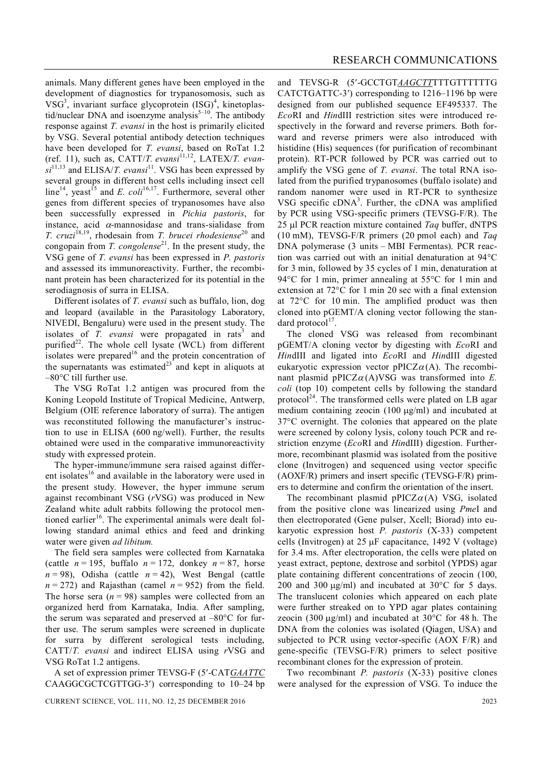animals. Many different genes have been employed in the development of diagnostics for trypanosomosis, such as  $VSG<sup>3</sup>$ , invariant surface glycoprotein  $(ISG)<sup>4</sup>$ , kinetoplastid/nuclear DNA and isoenzyme analysis<sup>5-10</sup>. The antibody response against *T. evansi* in the host is primarily elicited by VSG. Several potential antibody detection techniques have been developed for *T. evansi*, based on RoTat 1.2 (ref. 11), such as, CATT/*T. evansi*<sup>11,12</sup>, LATEX/*T. evan* $si^{11,13}$  and ELISA/*T. evansi*<sup>11</sup>. VSG has been expressed by several groups in different host cells including insect cell line<sup>14</sup>, yeast<sup>15</sup> and *E. coli*<sup>16,17</sup>. Furthermore, several other genes from different species of trypanosomes have also been successfully expressed in *Pichia pastoris*, for instance, acid  $\alpha$ -mannosidase and trans-sialidase from *T. cruzi*<sup>18,19</sup>, rhodesain from *T. brucei rhodesiense*<sup>20</sup> and congopain from *T. congolense*<sup>21</sup>. In the present study, the VSG gene of *T. evansi* has been expressed in *P. pastoris* and assessed its immunoreactivity. Further, the recombinant protein has been characterized for its potential in the serodiagnosis of surra in ELISA.

Different isolates of *T. evansi* such as buffalo, lion, dog and leopard (available in the Parasitology Laboratory, NIVEDI, Bengaluru) were used in the present study. The isolates of *T. evansi* were propagated in rats<sup>3</sup> and purified<sup>22</sup>. The whole cell lysate (WCL) from different isolates were prepared<sup>16</sup> and the protein concentration of the supernatants was estimated $^{23}$  and kept in aliquots at  $-80^{\circ}$ C till further use.

The VSG RoTat 1.2 antigen was procured from the Koning Leopold Institute of Tropical Medicine, Antwerp, Belgium (OIE reference laboratory of surra). The antigen was reconstituted following the manufacturer's instruction to use in ELISA (600 ng/well). Further, the results obtained were used in the comparative immunoreactivity study with expressed protein.

The hyper-immune/immune sera raised against different isolates<sup>16</sup> and available in the laboratory were used in the present study. However, the hyper immune serum against recombinant VSG (*r*VSG) was produced in New Zealand white adult rabbits following the protocol mentioned earlier<sup>16</sup>. The experimental animals were dealt following standard animal ethics and feed and drinking water were given *ad libitum.*

The field sera samples were collected from Karnataka (cattle  $n = 195$ , buffalo  $n = 172$ , donkey  $n = 87$ , horse  $n = 98$ ), Odisha (cattle  $n = 42$ ), West Bengal (cattle  $n = 272$  and Rajasthan (camel  $n = 952$ ) from the field. The horse sera  $(n = 98)$  samples were collected from an organized herd from Karnataka, India. After sampling, the serum was separated and preserved at  $-80^{\circ}$ C for further use. The serum samples were screened in duplicate for surra by different serological tests including, CATT/*T. evansi* and indirect ELISA using *r*VSG and VSG RoTat 1.2 antigens.

A set of expression primer TEVSG-F (5-CAT*GAATTC* CAAGGCGCTCGTTGG-3) corresponding to 10–24 bp

CURRENT SCIENCE, VOL. 111, NO. 12, 25 DECEMBER 2016 2023

and TEVSG-R (5-GCCTGT*AAGCTT*TTTGTTTTTTG CATCTGATTC-3) corresponding to 1216–1196 bp were designed from our published sequence EF495337. The *Eco*RI and *Hin*dIII restriction sites were introduced respectively in the forward and reverse primers. Both forward and reverse primers were also introduced with histidine (His) sequences (for purification of recombinant protein). RT-PCR followed by PCR was carried out to amplify the VSG gene of *T. evansi*. The total RNA isolated from the purified trypanosomes (buffalo isolate) and random nanomer were used in RT-PCR to synthesize VSG specific  $cDNA<sup>3</sup>$ . Further, the  $cDNA$  was amplified by PCR using VSG-specific primers (TEVSG-F/R). The 25 µl PCR reaction mixture contained *Taq* buffer, dNTPS (10 mM), TEVSG-F/R primers (20 pmol each) and *Taq* DNA polymerase (3 units – MBI Fermentas). PCR reaction was carried out with an initial denaturation at  $94^{\circ}$ C for 3 min, followed by 35 cycles of 1 min, denaturation at 94 $\rm ^{\circ}C$  for 1 min, primer annealing at 55 $\rm ^{\circ}C$  for 1 min and extension at  $72^{\circ}$ C for 1 min 20 sec with a final extension at  $72^{\circ}$ C for 10 min. The amplified product was then cloned into pGEMT/A cloning vector following the standard protocol<sup>17</sup>.

The cloned VSG was released from recombinant pGEMT/A cloning vector by digesting with *Eco*RI and *Hin*dIII and ligated into *Eco*RI and *Hin*dIII digested eukaryotic expression vector  $pPICZ\alpha(A)$ . The recombinant plasmid pPICZ $\alpha$ (A)VSG was transformed into *E*. *coli* (top 10) competent cells by following the standard protocol<sup>24</sup>. The transformed cells were plated on LB agar medium containing zeocin  $(100 \mu g/ml)$  and incubated at 37C overnight. The colonies that appeared on the plate were screened by colony lysis, colony touch PCR and restriction enzyme (*Eco*RI and *Hin*dIII) digestion. Furthermore, recombinant plasmid was isolated from the positive clone (Invitrogen) and sequenced using vector specific (AOXF/R) primers and insert specific (TEVSG-F/R) primers to determine and confirm the orientation of the insert.

The recombinant plasmid  $pPICZ\alpha(A)$  VSG, isolated from the positive clone was linearized using *Pme*I and then electroporated (Gene pulser, Xcell; Biorad) into eukaryotic expression host *P. pastoris* (X-33) competent cells (Invitrogen) at  $25 \mu$ F capacitance, 1492 V (voltage) for 3.4 ms. After electroporation, the cells were plated on yeast extract, peptone, dextrose and sorbitol (YPDS) agar plate containing different concentrations of zeocin (100, 200 and 300  $\mu$ g/ml) and incubated at 30 $\degree$ C for 5 days. The translucent colonies which appeared on each plate were further streaked on to YPD agar plates containing zeocin (300  $\mu$ g/ml) and incubated at 30 $\degree$ C for 48 h. The DNA from the colonies was isolated (Qiagen, USA) and subjected to PCR using vector-specific (AOX F/R) and gene-specific (TEVSG-F/R) primers to select positive recombinant clones for the expression of protein.

Two recombinant *P. pastoris* (X-33) positive clones were analysed for the expression of VSG. To induce the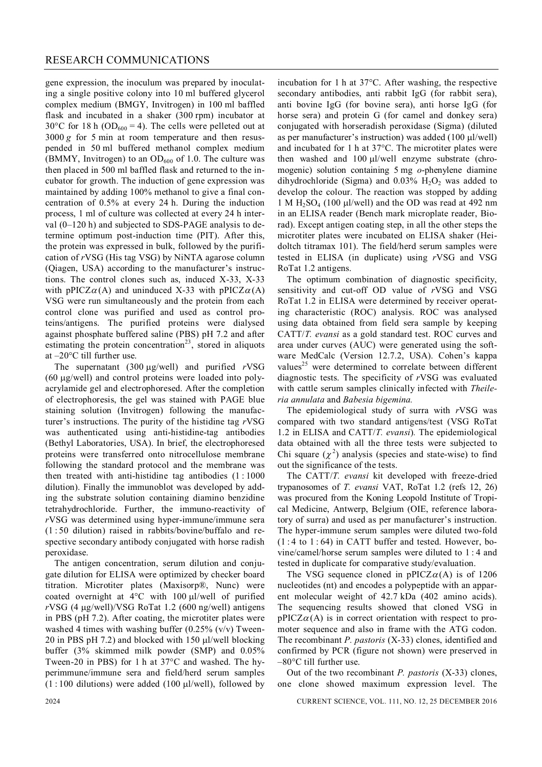gene expression, the inoculum was prepared by inoculating a single positive colony into 10 ml buffered glycerol complex medium (BMGY, Invitrogen) in 100 ml baffled flask and incubated in a shaker (300 rpm) incubator at 30°C for 18 h ( $OD_{600} = 4$ ). The cells were pelleted out at  $3000 g$  for 5 min at room temperature and then resuspended in 50 ml buffered methanol complex medium (BMMY, Invitrogen) to an  $OD<sub>600</sub>$  of 1.0. The culture was then placed in 500 ml baffled flask and returned to the incubator for growth. The induction of gene expression was maintained by adding 100% methanol to give a final concentration of 0.5% at every 24 h. During the induction process, 1 ml of culture was collected at every 24 h interval (0–120 h) and subjected to SDS-PAGE analysis to determine optimum post-induction time (PIT). After this, the protein was expressed in bulk, followed by the purification of *r*VSG (His tag VSG) by NiNTA agarose column (Qiagen, USA) according to the manufacturer's instructions. The control clones such as, induced X-33, X-33 with pPICZ $\alpha(A)$  and uninduced X-33 with pPICZ $\alpha(A)$ VSG were run simultaneously and the protein from each control clone was purified and used as control proteins/antigens. The purified proteins were dialysed against phosphate buffered saline (PBS) pH 7.2 and after estimating the protein concentration<sup>23</sup>, stored in aliquots at  $-20^{\circ}$ C till further use.

The supernatant (300 µg/well) and purified *rVSG*  $(60 \mu g/well)$  and control proteins were loaded into polyacrylamide gel and electrophoresed. After the completion of electrophoresis, the gel was stained with PAGE blue staining solution (Invitrogen) following the manufacturer's instructions. The purity of the histidine tag *r*VSG was authenticated using anti-histidine-tag antibodies (Bethyl Laboratories, USA). In brief, the electrophoresed proteins were transferred onto nitrocellulose membrane following the standard protocol and the membrane was then treated with anti-histidine tag antibodies  $(1:1000)$ dilution). Finally the immunoblot was developed by adding the substrate solution containing diamino benzidine tetrahydrochloride. Further, the immuno-reactivity of *r*VSG was determined using hyper-immune/immune sera (1 : 50 dilution) raised in rabbits/bovine/buffalo and respective secondary antibody conjugated with horse radish peroxidase.

The antigen concentration, serum dilution and conjugate dilution for ELISA were optimized by checker board titration. Microtiter plates (Maxisorp®, Nunc) were coated overnight at  $4^{\circ}$ C with 100 ul/well of purified  $rVSG$  (4  $\mu$ g/well)/VSG RoTat 1.2 (600 ng/well) antigens in PBS (pH 7.2). After coating, the microtiter plates were washed 4 times with washing buffer  $(0.25\%$  (v/v) Tween-20 in PBS pH 7.2) and blocked with 150  $\mu$ l/well blocking buffer (3% skimmed milk powder (SMP) and 0.05% Tween-20 in PBS) for 1 h at  $37^{\circ}$ C and washed. The hyperimmune/immune sera and field/herd serum samples  $(1:100$  dilutions) were added  $(100 \mu l/well)$ , followed by

incubation for 1 h at  $37^{\circ}$ C. After washing, the respective secondary antibodies, anti rabbit IgG (for rabbit sera), anti bovine IgG (for bovine sera), anti horse IgG (for horse sera) and protein G (for camel and donkey sera) conjugated with horseradish peroxidase (Sigma) (diluted as per manufacturer's instruction) was added (100 µl/well) and incubated for 1 h at  $37^{\circ}$ C. The microtiter plates were then washed and  $100 \mu$ l/well enzyme substrate (chromogenic) solution containing 5 mg *o*-phenylene diamine dihydrochloride (Sigma) and  $0.03\%$  H<sub>2</sub>O<sub>2</sub> was added to develop the colour. The reaction was stopped by adding 1 M  $H<sub>2</sub>SO<sub>4</sub>$  (100 µl/well) and the OD was read at 492 nm in an ELISA reader (Bench mark microplate reader, Biorad). Except antigen coating step, in all the other steps the microtiter plates were incubated on ELISA shaker (Heidoltch titramax 101). The field/herd serum samples were tested in ELISA (in duplicate) using *r*VSG and VSG RoTat 1.2 antigens.

The optimum combination of diagnostic specificity, sensitivity and cut-off OD value of *r*VSG and VSG RoTat 1.2 in ELISA were determined by receiver operating characteristic (ROC) analysis. ROC was analysed using data obtained from field sera sample by keeping CATT/*T. evansi* as a gold standard test. ROC curves and area under curves (AUC) were generated using the software MedCalc (Version 12.7.2, USA). Cohen's kappa values<sup>25</sup> were determined to correlate between different diagnostic tests. The specificity of *r*VSG was evaluated with cattle serum samples clinically infected with *Theileria annulata* and *Babesia bigemina.*

The epidemiological study of surra with *r*VSG was compared with two standard antigens/test (VSG RoTat 1.2 in ELISA and CATT/*T. evansi*)*.* The epidemiological data obtained with all the three tests were subjected to Chi square  $(\chi^2)$  analysis (species and state-wise) to find out the significance of the tests.

The CATT/*T. evansi* kit developed with freeze-dried trypanosomes of *T. evansi* VAT, RoTat 1.2 (refs 12, 26) was procured from the Koning Leopold Institute of Tropical Medicine, Antwerp, Belgium (OIE, reference laboratory of surra) and used as per manufacturer's instruction. The hyper-immune serum samples were diluted two-fold  $(1:4 \text{ to } 1:64)$  in CATT buffer and tested. However, bovine/camel/horse serum samples were diluted to 1 : 4 and tested in duplicate for comparative study/evaluation.

The VSG sequence cloned in  $pPICZ\alpha(A)$  is of 1206 nucleotides (nt) and encodes a polypeptide with an apparent molecular weight of 42.7 kDa (402 amino acids). The sequencing results showed that cloned VSG in  $pPICZ\alpha(A)$  is in correct orientation with respect to promoter sequence and also in frame with the ATG codon. The recombinant *P. pastoris* (X-33) clones, identified and confirmed by PCR (figure not shown) were preserved in  $-80^{\circ}$ C till further use.

Out of the two recombinant *P. pastoris* (X-33) clones, one clone showed maximum expression level. The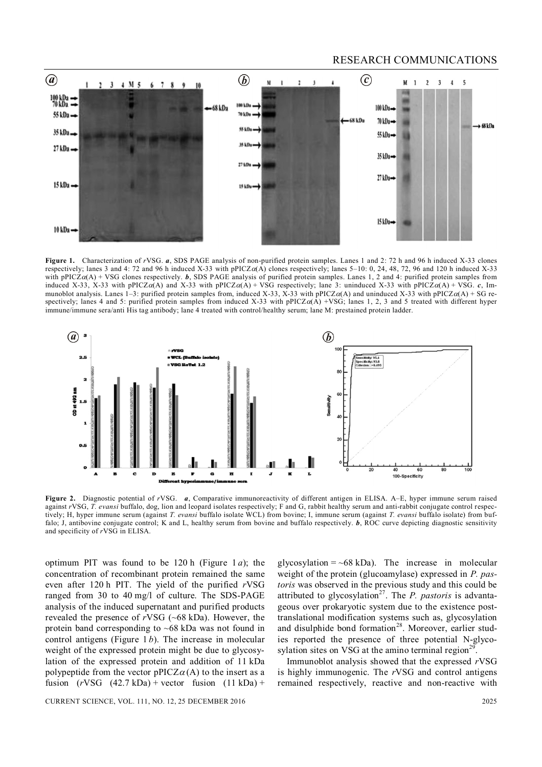#### RESEARCH COMMUNICATIONS



**Figure 1.** Characterization of *r*VSG. *a*, SDS PAGE analysis of non-purified protein samples. Lanes 1 and 2: 72 h and 96 h induced X-33 clones respectively; lanes 3 and 4: 72 and 96 h induced X-33 with pPICZ $\alpha$ (A) clones respectively; lanes 5–10: 0, 24, 48, 72, 96 and 120 h induced X-33 with pPICZ $\alpha$ (A) + VSG clones respectively. *b*, SDS PAGE analysis of purified protein samples. Lanes 1, 2 and 4: purified protein samples from induced X-33, X-33 with pPICZ $\alpha(A)$  and X-33 with pPICZ $\alpha(A)$  + VSG respectively; lane 3: uninduced X-33 with pPICZ $\alpha(A)$  + VSG. *c*, Immunoblot analysis. Lanes 1–3: purified protein samples from, induced X-33, X-33 with pPICZ $\alpha$ (A) and uninduced X-33 with pPICZ $\alpha$ (A) + SG respectively; lanes 4 and 5: purified protein samples from induced X-33 with pPICZ $\alpha(A)$  +VSG; lanes 1, 2, 3 and 5 treated with different hyper immune/immune sera/anti His tag antibody; lane 4 treated with control/healthy serum; lane M: prestained protein ladder.



**Figure 2.** Diagnostic potential of *r*VSG. *a*, Comparative immunoreactivity of different antigen in ELISA. A–E, hyper immune serum raised against *r*VSG, *T. evansi* buffalo, dog, lion and leopard isolates respectively; F and G, rabbit healthy serum and anti-rabbit conjugate control respectively; H, hyper immune serum (against *T. evansi* buffalo isolate WCL) from bovine; I, immune serum (against *T. evansi* buffalo isolate) from buffalo; J, antibovine conjugate control; K and L, healthy serum from bovine and buffalo respectively. *b*, ROC curve depicting diagnostic sensitivity and specificity of *r*VSG in ELISA.

optimum PIT was found to be 120 h (Figure 1 *a*); the concentration of recombinant protein remained the same even after 120 h PIT. The yield of the purified *r*VSG ranged from 30 to 40 mg/l of culture. The SDS-PAGE analysis of the induced supernatant and purified products revealed the presence of *r*VSG (~68 kDa). However, the protein band corresponding to  $~68$  kDa was not found in control antigens (Figure 1 *b*). The increase in molecular weight of the expressed protein might be due to glycosylation of the expressed protein and addition of 11 kDa polypeptide from the vector  $pPICZ\alpha(A)$  to the insert as a fusion  $(rVSG (42.7 kDa) + vector$  fusion  $(11 kDa) +$ 

CURRENT SCIENCE, VOL. 111, NO. 12, 25 DECEMBER 2016 2025

glycosylation =  $~68$  kDa). The increase in molecular weight of the protein (glucoamylase) expressed in *P. pastoris* was observed in the previous study and this could be attributed to glycosylation<sup>27</sup>. The *P. pastoris* is advantageous over prokaryotic system due to the existence posttranslational modification systems such as, glycosylation and disulphide bond formation<sup>28</sup>. Moreover, earlier studies reported the presence of three potential N-glycosylation sites on VSG at the amino terminal region<sup>29</sup>.

Immunoblot analysis showed that the expressed *r*VSG is highly immunogenic. The *r*VSG and control antigens remained respectively, reactive and non-reactive with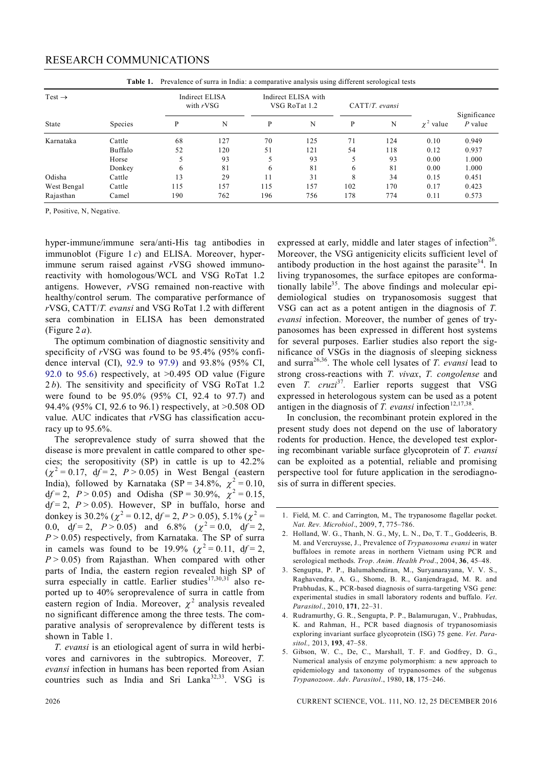### RESEARCH COMMUNICATIONS

| Prevalence of surra in India: a comparative analysis using different serological tests<br>Table 1. |                |                                      |     |                                      |     |                   |     |                                                |              |
|----------------------------------------------------------------------------------------------------|----------------|--------------------------------------|-----|--------------------------------------|-----|-------------------|-----|------------------------------------------------|--------------|
| Test $\rightarrow$                                                                                 | <b>Species</b> | <b>Indirect ELISA</b><br>with $rVSG$ |     | Indirect ELISA with<br>VSG RoTat 1.2 |     | $CATT/T$ . evansi |     |                                                | Significance |
| State                                                                                              |                | P                                    | N   | P                                    | N   | P                 | N   | value<br>$\gamma$ <sup><math>\sim</math></sup> | $P$ value    |
| Karnataka                                                                                          | Cattle         | 68                                   | 127 | 70                                   | 125 | 71                | 124 | 0.10                                           | 0.949        |
|                                                                                                    | Buffalo        | 52                                   | 120 | 51                                   | 121 | 54                | 118 | 0.12                                           | 0.937        |
|                                                                                                    | Horse          | 5                                    | 93  |                                      | 93  | 5                 | 93  | 0.00                                           | 1.000        |
|                                                                                                    | Donkey         | 6                                    | 81  | 6                                    | 81  | 6                 | 81  | 0.00                                           | 1.000        |
| Odisha                                                                                             | Cattle         | 13                                   | 29  |                                      | 31  | 8                 | 34  | 0.15                                           | 0.451        |
| West Bengal                                                                                        | Cattle         | 115                                  | 157 | 115                                  | 157 | 102               | 170 | 0.17                                           | 0.423        |
| Rajasthan                                                                                          | Camel          | 190                                  | 762 | 196                                  | 756 | 178               | 774 | 0.11                                           | 0.573        |

P, Positive, N, Negative.

hyper-immune/immune sera/anti-His tag antibodies in immunoblot (Figure 1 *c*) and ELISA. Moreover, hyperimmune serum raised against *r*VSG showed immunoreactivity with homologous/WCL and VSG RoTat 1.2 antigens. However, *r*VSG remained non-reactive with healthy/control serum. The comparative performance of *r*VSG, CATT/*T. evansi* and VSG RoTat 1.2 with different sera combination in ELISA has been demonstrated (Figure 2 *a*).

The optimum combination of diagnostic sensitivity and specificity of *r*VSG was found to be 95.4% (95% confidence interval (CI), 92.9 to 97.9) and 93.8% (95% CI, 92.0 to 95.6) respectively, at  $>0.495$  OD value (Figure 2 *b*). The sensitivity and specificity of VSG RoTat 1.2 were found to be 95.0% (95% CI, 92.4 to 97.7) and 94.4% (95% CI, 92.6 to 96.1) respectively, at >0.508 OD value. AUC indicates that *r*VSG has classification accuracy up to 95.6%.

The seroprevalence study of surra showed that the disease is more prevalent in cattle compared to other species; the seropositivity (SP) in cattle is up to 42.2%  $(\chi^2 = 0.17, df = 2, P > 0.05)$  in West Bengal (eastern India), followed by Karnataka  $(SP = 34.8\%, \chi^2 = 0.10,$ d $f = 2$ ,  $P > 0.05$ ) and Odisha (SP = 30.9%,  $\chi^2 = 0.15$ ,  $df = 2$ ,  $P > 0.05$ ). However, SP in buffalo, horse and donkey is 30.2% ( $\chi^2$  = 0.12, df = 2, P > 0.05), 5.1% ( $\chi^2$  = 0.0,  $df = 2$ ,  $P > 0.05$ ) and  $6.8\%$   $(\chi^2 = 0.0, df = 2,$  $P > 0.05$ ) respectively, from Karnataka. The SP of surra in camels was found to be 19.9%  $(\chi^2 = 0.11, df = 2,$  $P > 0.05$ ) from Rajasthan. When compared with other parts of India, the eastern region revealed high SP of surra especially in cattle. Earlier studies $17,30,31$  also reported up to 40% seroprevalence of surra in cattle from eastern region of India. Moreover,  $\chi^2$  analysis revealed no significant difference among the three tests. The comparative analysis of seroprevalence by different tests is shown in Table 1.

*T. evansi* is an etiological agent of surra in wild herbivores and carnivores in the subtropics. Moreover, *T. evansi* infection in humans has been reported from Asian countries such as India and Sri Lanka<sup>32,33</sup>. VSG is

expressed at early, middle and later stages of infection<sup>26</sup>. Moreover, the VSG antigenicity elicits sufficient level of antibody production in the host against the parasite<sup>34</sup>. In living trypanosomes, the surface epitopes are conformationally labile<sup>35</sup>. The above findings and molecular epidemiological studies on trypanosomosis suggest that VSG can act as a potent antigen in the diagnosis of *T. evansi* infection. Moreover, the number of genes of trypanosomes has been expressed in different host systems for several purposes. Earlier studies also report the significance of VSGs in the diagnosis of sleeping sickness and surra26,36. The whole cell lysates of *T. evansi* lead to strong cross-reactions with *T. vivax*, *T. congolense* and even *T. cruzi*<sup>37</sup>. Earlier reports suggest that VSG expressed in heterologous system can be used as a potent antigen in the diagnosis of  $T$ . evansi infection<sup>12,17,38</sup> .

In conclusion, the recombinant protein explored in the present study does not depend on the use of laboratory rodents for production. Hence, the developed test exploring recombinant variable surface glycoprotein of *T. evansi* can be exploited as a potential, reliable and promising perspective tool for future application in the serodiagnosis of surra in different species.

- 2. Holland, W. G., Thanh, N. G., My, L. N., Do, T. T., Goddeeris, B. M. and Vercruysse, J., Prevalence of *Trypanosoma evansi* in water buffaloes in remote areas in northern Vietnam using PCR and serological methods. *Trop*. *Anim*. *Health Prod*., 2004, **36**, 45–48.
- 3. Sengupta, P. P., Balumahendiran, M., Suryanarayana, V. V. S., Raghavendra, A. G., Shome, B. R., Ganjendragad, M. R. and Prabhudas, K., PCR-based diagnosis of surra-targeting VSG gene: experimental studies in small laboratory rodents and buffalo. *Vet*. *Parasitol*., 2010, **171**, 22–31.
- 4. Rudramurthy, G. R., Sengupta, P. P., Balamurugan, V., Prabhudas, K. and Rahman, H., PCR based diagnosis of trypanosomiasis exploring invariant surface glycoprotein (ISG) 75 gene. *Vet*. *Parasitol.,* 2013, **193**, 47–58.
- 5. Gibson, W. C., De, C., Marshall, T. F. and Godfrey, D. G., Numerical analysis of enzyme polymorphism: a new approach to epidemiology and taxonomy of trypanosomes of the subgenus *Trypanozoon*. *Adv*. *Parasitol*., 1980, **18**, 175–246.

2026 CURRENT SCIENCE, VOL. 111, NO. 12, 25 DECEMBER 2016

<sup>1.</sup> Field, M. C. and Carrington, M., The trypanosome flagellar pocket. *Nat. Rev. Microbiol*., 2009, **7**, 775–786.